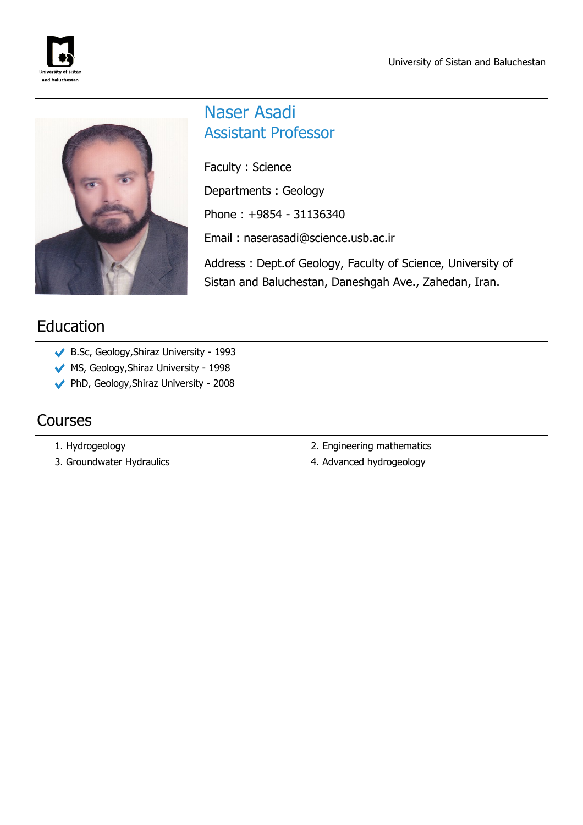



## Naser Asadi Assistant Professor

Faculty : Science Departments : Geology Phone : +9854 - 31136340 Email : naserasadi@science.usb.ac.ir Address : Dept.of Geology, Faculty of Science, University of

Sistan and Baluchestan, Daneshgah Ave., Zahedan, Iran.

# Education

- B.Sc, Geology,Shiraz University 1993
- MS, Geology, Shiraz University 1998
- PhD, Geology,Shiraz University 2008

### Courses

- 
- 
- 1. Hydrogeology 2. Engineering mathematics
- 3. Groundwater Hydraulics and the state of the 4. Advanced hydrogeology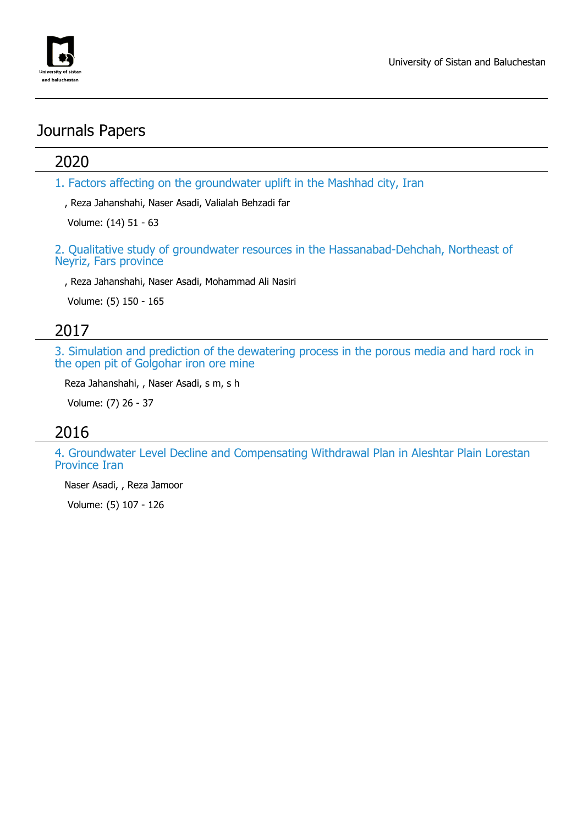

## Journals Papers

#### 2020

1. Factors affecting on the groundwater uplift in the Mashhad city, Iran

, Reza Jahanshahi, Naser Asadi, Valialah Behzadi far

Volume: (14) 51 - 63

2. Qualitative study of groundwater resources in the Hassanabad-Dehchah, Northeast of Neyriz, Fars province

, Reza Jahanshahi, Naser Asadi, Mohammad Ali Nasiri

Volume: (5) 150 - 165

#### 2017

3. Simulation and prediction of the dewatering process in the porous media and hard rock in the open pit of Golgohar iron ore mine

Reza Jahanshahi, , Naser Asadi, s m, s h

Volume: (7) 26 - 37

#### 2016

4. Groundwater Level Decline and Compensating Withdrawal Plan in Aleshtar Plain Lorestan Province Iran

Naser Asadi, , Reza Jamoor

Volume: (5) 107 - 126